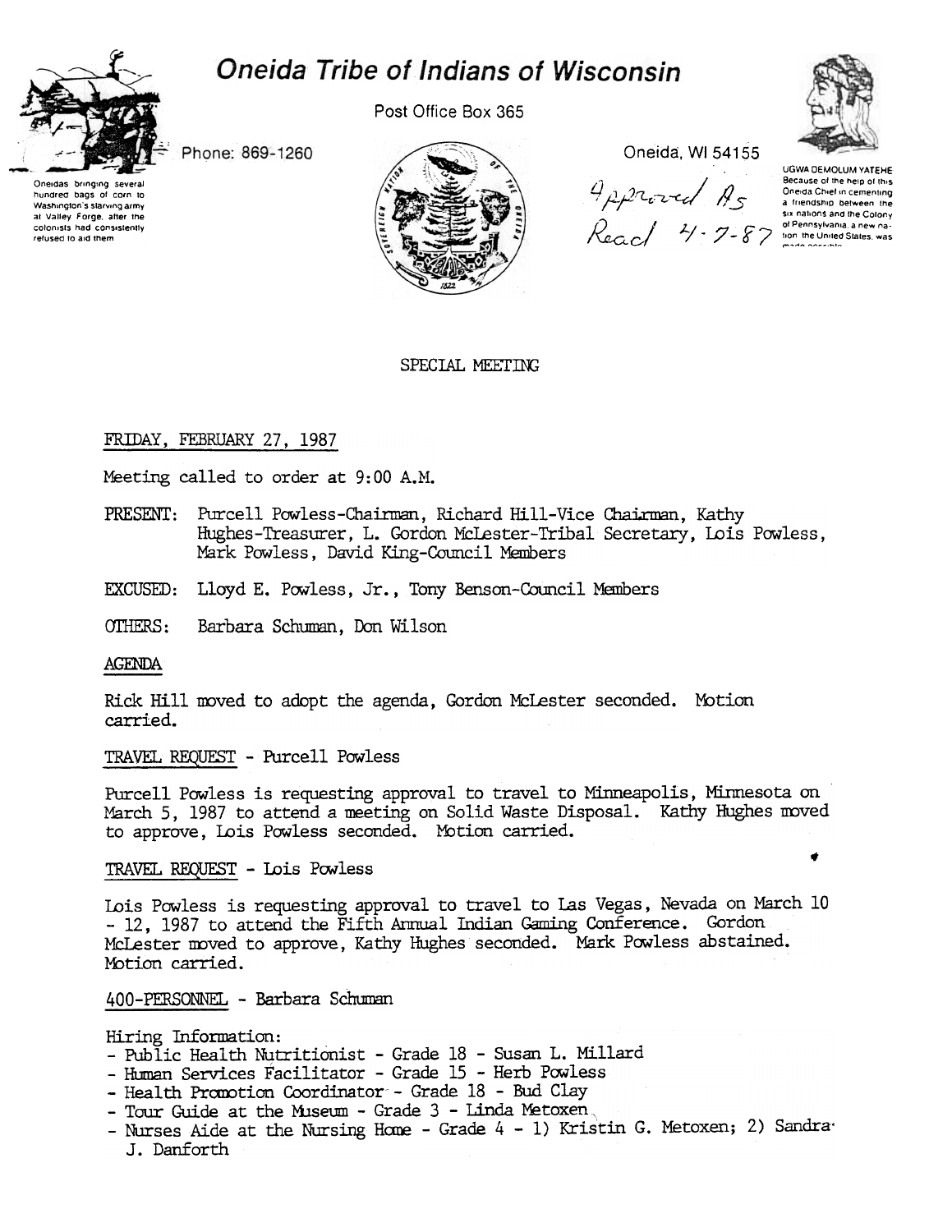



hundred bags of corn to

Washington's starving army

at Valley Forge, after the

colonists had consistently refused to aid them

Post Office Box 365



Oneida, WI 54155

Approved As  $\begin{array}{c} \mathcal{R} \sim 7 - 87 \end{array}$ 

UGWA DEMOLUM YATEHE Because of the help of this Oneida Chief in cementing a friendship between the six nations and the Colony

SPECIAL MEETING

# FRIDAY, FEBRUARY 27, 1987

Phone: 869-1260

Meeting called to order at 9:00 A.M.

- PRESENT: Purcell Powless-Chairman, Richard Hill-Vice Chairman, Kathy Hughes-Treasurer, L. Gordon McLester-Tribal Secretary, Lois Powless. Mark Powless, David King-Council Members
- EXCUSED: Lloyd E. Powless, Jr., Tony Benson-Council Members

OTHERS: Barbara Schuman, Don Wilson

#### **AGENDA**

Rick Hill moved to adopt the agenda, Gordon McLester seconded. Motion carried.

TRAVEL REQUEST - Purcell Powless

Purcell Powless is requesting approval to travel to Minneapolis, Minnesota on March 5, 1987 to attend a meeting on Solid Waste Disposal. Kathy Hughes moved to approve, Lois Powless seconded. Motion carried.

TRAVEL REQUEST - Lois Powless

Lois Powless is requesting approval to travel to Las Vegas, Nevada on March 10 - 12, 1987 to attend the Fifth Annual Indian Gaming Conference. Gordon McLester moved to approve, Kathy Hughes seconded. Mark Powless abstained. Motion carried.

400-PERSONNEL - Barbara Schuman

Hiring Information:

- Public Health Nutritionist Grade 18 Susan L. Millard
- Human Services Facilitator Grade 15 Herb Powless
- Health Promotion Coordinator Grade 18 Bud Clay
- Tour Guide at the Museum Grade 3 Linda Metoxen,
- Nurses Aide at the Nursing Home Grade 4 1) Kristin G. Metoxen; 2) Sandra J. Danforth